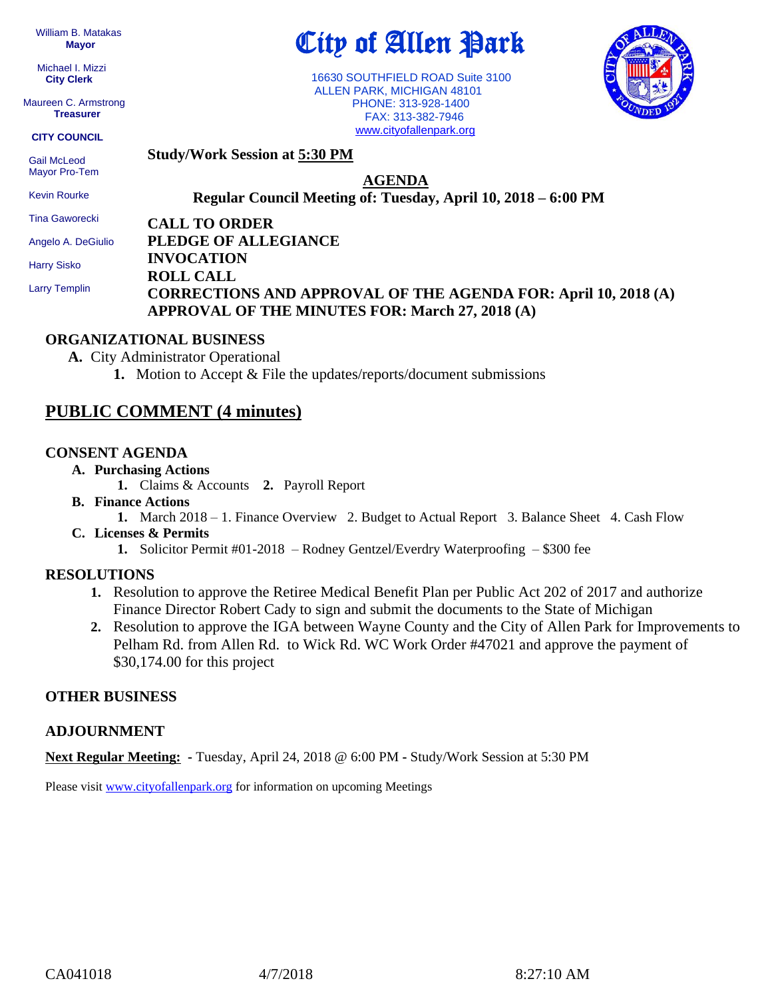William B. Matakas  **Mayor**

 Michael I. Mizzi **City Clerk**

Maureen C. Armstrong **Treasurer**

**CITY COUNCIL**

Mayor Pro-Tem Kevin Rourke Tina Gaworecki

**Study/Work Session at 5:30 PM** Gail McLeod

**AGENDA**

**Regular Council Meeting of: Tuesday, April 10, 2018 – 6:00 PM** 

**CALL TO ORDER**

**PLEDGE OF ALLEGIANCE INVOCATION** Angelo A. DeGiulio

Harry Sisko

Larry Templin

**ROLL CALL CORRECTIONS AND APPROVAL OF THE AGENDA FOR: April 10, 2018 (A) APPROVAL OF THE MINUTES FOR: March 27, 2018 (A)**

#### **ORGANIZATIONAL BUSINESS**

**A.** City Administrator Operational

**1.** Motion to Accept & File the updates/reports/document submissions

# **PUBLIC COMMENT (4 minutes)**

#### **CONSENT AGENDA**

- **A. Purchasing Actions**
	- **1.** Claims & Accounts **2.** Payroll Report
- **B. Finance Actions**
	- **1.** March 2018 1. Finance Overview 2. Budget to Actual Report 3. Balance Sheet 4. Cash Flow
- **C. Licenses & Permits**
	- **1.** Solicitor Permit #01-2018 Rodney Gentzel/Everdry Waterproofing \$300 fee

## **RESOLUTIONS**

- **1.** Resolution to approve the Retiree Medical Benefit Plan per Public Act 202 of 2017 and authorize Finance Director Robert Cady to sign and submit the documents to the State of Michigan
- **2.** Resolution to approve the IGA between Wayne County and the City of Allen Park for Improvements to Pelham Rd. from Allen Rd. to Wick Rd. WC Work Order #47021 and approve the payment of \$30,174.00 for this project

## **OTHER BUSINESS**

## **ADJOURNMENT**

**Next Regular Meeting: -** Tuesday, April 24, 2018 @ 6:00 PM **-** Study/Work Session at 5:30 PM

Please visit **[www.cityofallenpark.org](http://www.cityofallenpark.org/)** for information on upcoming Meetings



 16630 SOUTHFIELD ROAD Suite 3100 ALLEN PARK, MICHIGAN 48101 PHONE: 313-928-1400

City of Allen Park

 FAX: 313-382-7946 [www.cityofallenpark.org](http://www.cityofallenpark.org/)